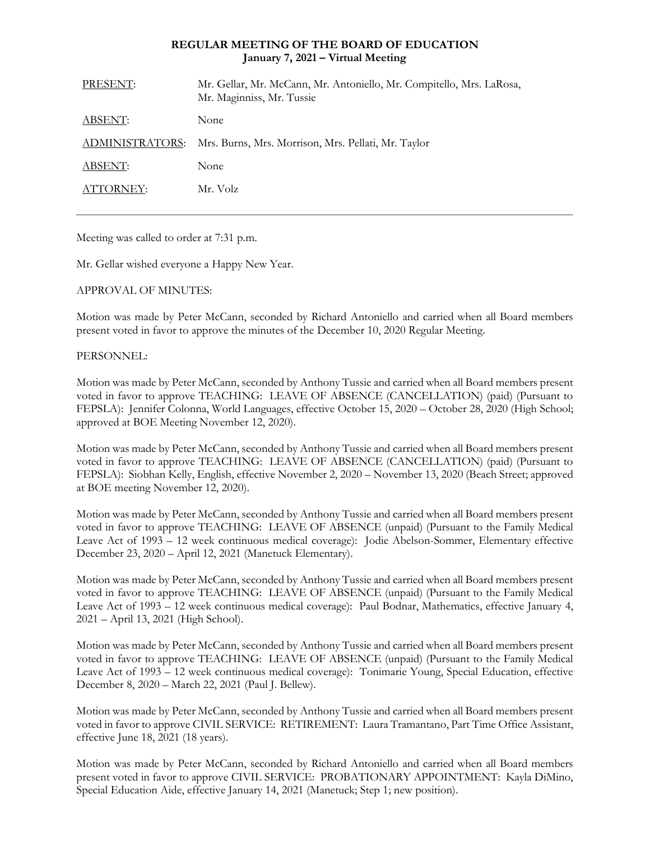# **REGULAR MEETING OF THE BOARD OF EDUCATION January 7, 2021 – Virtual Meeting**

| PRESENT:        | Mr. Gellar, Mr. McCann, Mr. Antoniello, Mr. Compitello, Mrs. LaRosa,<br>Mr. Maginniss, Mr. Tussie |
|-----------------|---------------------------------------------------------------------------------------------------|
| ABSENT:         | None                                                                                              |
| ADMINISTRATORS: | Mrs. Burns, Mrs. Morrison, Mrs. Pellati, Mr. Taylor                                               |
| ABSENT:         | None                                                                                              |
| ATTORNEY:       | Mr. Volz                                                                                          |
|                 |                                                                                                   |

Meeting was called to order at 7:31 p.m.

Mr. Gellar wished everyone a Happy New Year.

# APPROVAL OF MINUTES:

Motion was made by Peter McCann, seconded by Richard Antoniello and carried when all Board members present voted in favor to approve the minutes of the December 10, 2020 Regular Meeting.

# PERSONNEL:

Motion was made by Peter McCann, seconded by Anthony Tussie and carried when all Board members present voted in favor to approve TEACHING: LEAVE OF ABSENCE (CANCELLATION) (paid) (Pursuant to FEPSLA): Jennifer Colonna, World Languages, effective October 15, 2020 – October 28, 2020 (High School; approved at BOE Meeting November 12, 2020).

Motion was made by Peter McCann, seconded by Anthony Tussie and carried when all Board members present voted in favor to approve TEACHING: LEAVE OF ABSENCE (CANCELLATION) (paid) (Pursuant to FEPSLA): Siobhan Kelly, English, effective November 2, 2020 – November 13, 2020 (Beach Street; approved at BOE meeting November 12, 2020).

Motion was made by Peter McCann, seconded by Anthony Tussie and carried when all Board members present voted in favor to approve TEACHING: LEAVE OF ABSENCE (unpaid) (Pursuant to the Family Medical Leave Act of 1993 – 12 week continuous medical coverage): Jodie Abelson-Sommer, Elementary effective December 23, 2020 – April 12, 2021 (Manetuck Elementary).

Motion was made by Peter McCann, seconded by Anthony Tussie and carried when all Board members present voted in favor to approve TEACHING: LEAVE OF ABSENCE (unpaid) (Pursuant to the Family Medical Leave Act of 1993 – 12 week continuous medical coverage): Paul Bodnar, Mathematics, effective January 4, 2021 – April 13, 2021 (High School).

Motion was made by Peter McCann, seconded by Anthony Tussie and carried when all Board members present voted in favor to approve TEACHING: LEAVE OF ABSENCE (unpaid) (Pursuant to the Family Medical Leave Act of 1993 – 12 week continuous medical coverage): Tonimarie Young, Special Education, effective December 8, 2020 – March 22, 2021 (Paul J. Bellew).

Motion was made by Peter McCann, seconded by Anthony Tussie and carried when all Board members present voted in favor to approve CIVIL SERVICE: RETIREMENT: Laura Tramantano, Part Time Office Assistant, effective June 18, 2021 (18 years).

Motion was made by Peter McCann, seconded by Richard Antoniello and carried when all Board members present voted in favor to approve CIVIL SERVICE: PROBATIONARY APPOINTMENT: Kayla DiMino, Special Education Aide, effective January 14, 2021 (Manetuck; Step 1; new position).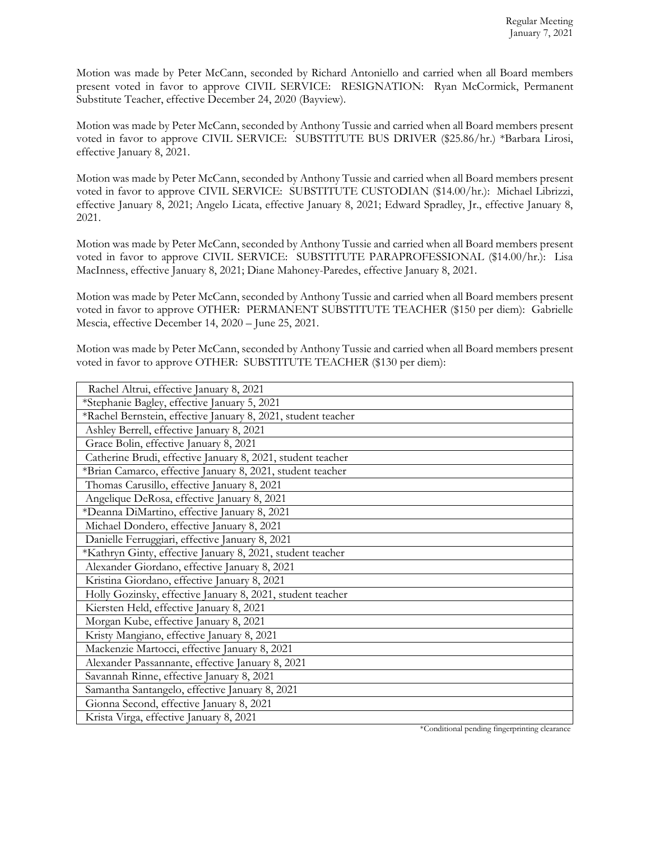Motion was made by Peter McCann, seconded by Richard Antoniello and carried when all Board members present voted in favor to approve CIVIL SERVICE: RESIGNATION: Ryan McCormick, Permanent Substitute Teacher, effective December 24, 2020 (Bayview).

Motion was made by Peter McCann, seconded by Anthony Tussie and carried when all Board members present voted in favor to approve CIVIL SERVICE: SUBSTITUTE BUS DRIVER (\$25.86/hr.) \*Barbara Lirosi, effective January 8, 2021.

Motion was made by Peter McCann, seconded by Anthony Tussie and carried when all Board members present voted in favor to approve CIVIL SERVICE: SUBSTITUTE CUSTODIAN (\$14.00/hr.): Michael Librizzi, effective January 8, 2021; Angelo Licata, effective January 8, 2021; Edward Spradley, Jr., effective January 8, 2021.

Motion was made by Peter McCann, seconded by Anthony Tussie and carried when all Board members present voted in favor to approve CIVIL SERVICE: SUBSTITUTE PARAPROFESSIONAL (\$14.00/hr.): Lisa MacInness, effective January 8, 2021; Diane Mahoney-Paredes, effective January 8, 2021.

Motion was made by Peter McCann, seconded by Anthony Tussie and carried when all Board members present voted in favor to approve OTHER: PERMANENT SUBSTITUTE TEACHER (\$150 per diem): Gabrielle Mescia, effective December 14, 2020 – June 25, 2021.

Motion was made by Peter McCann, seconded by Anthony Tussie and carried when all Board members present voted in favor to approve OTHER: SUBSTITUTE TEACHER (\$130 per diem):

| Rachel Altrui, effective January 8, 2021                      |  |
|---------------------------------------------------------------|--|
| *Stephanie Bagley, effective January 5, 2021                  |  |
| *Rachel Bernstein, effective January 8, 2021, student teacher |  |
| Ashley Berrell, effective January 8, 2021                     |  |
| Grace Bolin, effective January 8, 2021                        |  |
| Catherine Brudi, effective January 8, 2021, student teacher   |  |
| *Brian Camarco, effective January 8, 2021, student teacher    |  |
| Thomas Carusillo, effective January 8, 2021                   |  |
| Angelique DeRosa, effective January 8, 2021                   |  |
| *Deanna DiMartino, effective January 8, 2021                  |  |
| Michael Dondero, effective January 8, 2021                    |  |
| Danielle Ferruggiari, effective January 8, 2021               |  |
| *Kathryn Ginty, effective January 8, 2021, student teacher    |  |
| Alexander Giordano, effective January 8, 2021                 |  |
| Kristina Giordano, effective January 8, 2021                  |  |
| Holly Gozinsky, effective January 8, 2021, student teacher    |  |
| Kiersten Held, effective January 8, 2021                      |  |
| Morgan Kube, effective January 8, 2021                        |  |
| Kristy Mangiano, effective January 8, 2021                    |  |
| Mackenzie Martocci, effective January 8, 2021                 |  |
| Alexander Passannante, effective January 8, 2021              |  |
| Savannah Rinne, effective January 8, 2021                     |  |
| Samantha Santangelo, effective January 8, 2021                |  |
| Gionna Second, effective January 8, 2021                      |  |
| Krista Virga, effective January 8, 2021                       |  |

\*Conditional pending fingerprinting clearance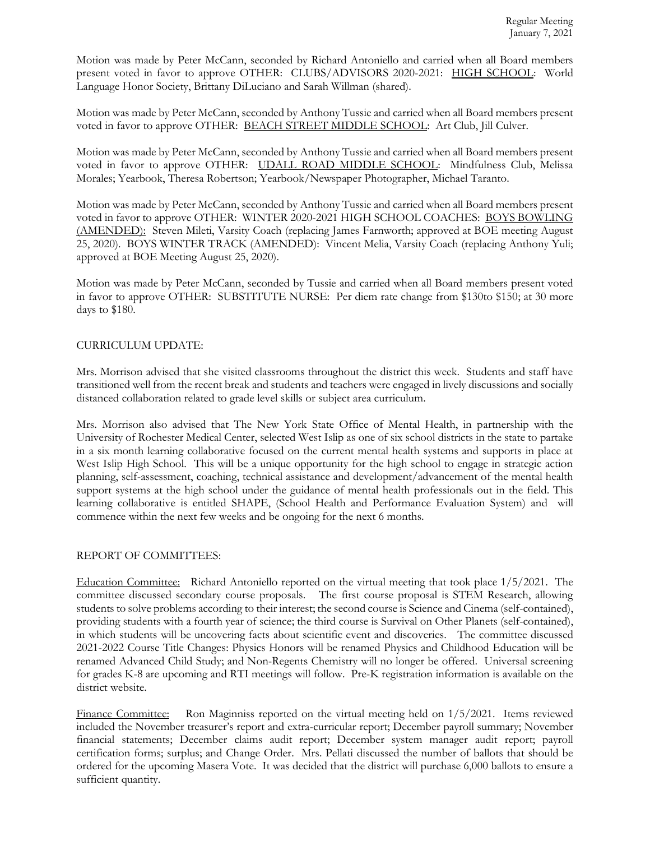Motion was made by Peter McCann, seconded by Richard Antoniello and carried when all Board members present voted in favor to approve OTHER: CLUBS/ADVISORS 2020-2021: HIGH SCHOOL: World Language Honor Society, Brittany DiLuciano and Sarah Willman (shared).

Motion was made by Peter McCann, seconded by Anthony Tussie and carried when all Board members present voted in favor to approve OTHER: BEACH STREET MIDDLE SCHOOL: Art Club, Jill Culver.

Motion was made by Peter McCann, seconded by Anthony Tussie and carried when all Board members present voted in favor to approve OTHER: UDALL ROAD MIDDLE SCHOOL: Mindfulness Club, Melissa Morales; Yearbook, Theresa Robertson; Yearbook/Newspaper Photographer, Michael Taranto.

Motion was made by Peter McCann, seconded by Anthony Tussie and carried when all Board members present voted in favor to approve OTHER: WINTER 2020-2021 HIGH SCHOOL COACHES: BOYS BOWLING (AMENDED): Steven Mileti, Varsity Coach (replacing James Farnworth; approved at BOE meeting August 25, 2020). BOYS WINTER TRACK (AMENDED): Vincent Melia, Varsity Coach (replacing Anthony Yuli; approved at BOE Meeting August 25, 2020).

Motion was made by Peter McCann, seconded by Tussie and carried when all Board members present voted in favor to approve OTHER: SUBSTITUTE NURSE: Per diem rate change from \$130to \$150; at 30 more days to \$180.

# CURRICULUM UPDATE:

Mrs. Morrison advised that she visited classrooms throughout the district this week. Students and staff have transitioned well from the recent break and students and teachers were engaged in lively discussions and socially distanced collaboration related to grade level skills or subject area curriculum.

Mrs. Morrison also advised that The New York State Office of Mental Health, in partnership with the University of Rochester Medical Center, selected West Islip as one of six school districts in the state to partake in a six month learning collaborative focused on the current mental health systems and supports in place at West Islip High School. This will be a unique opportunity for the high school to engage in strategic action planning, self-assessment, coaching, technical assistance and development/advancement of the mental health support systems at the high school under the guidance of mental health professionals out in the field. This learning collaborative is entitled SHAPE, (School Health and Performance Evaluation System) and will commence within the next few weeks and be ongoing for the next 6 months.

### REPORT OF COMMITTEES:

Education Committee: Richard Antoniello reported on the virtual meeting that took place 1/5/2021. The committee discussed secondary course proposals. The first course proposal is STEM Research, allowing students to solve problems according to their interest; the second course is Science and Cinema (self-contained), providing students with a fourth year of science; the third course is Survival on Other Planets (self-contained), in which students will be uncovering facts about scientific event and discoveries. The committee discussed 2021-2022 Course Title Changes: Physics Honors will be renamed Physics and Childhood Education will be renamed Advanced Child Study; and Non-Regents Chemistry will no longer be offered. Universal screening for grades K-8 are upcoming and RTI meetings will follow. Pre-K registration information is available on the district website.

Finance Committee: Ron Maginniss reported on the virtual meeting held on 1/5/2021. Items reviewed included the November treasurer's report and extra-curricular report; December payroll summary; November financial statements; December claims audit report; December system manager audit report; payroll certification forms; surplus; and Change Order. Mrs. Pellati discussed the number of ballots that should be ordered for the upcoming Masera Vote. It was decided that the district will purchase 6,000 ballots to ensure a sufficient quantity.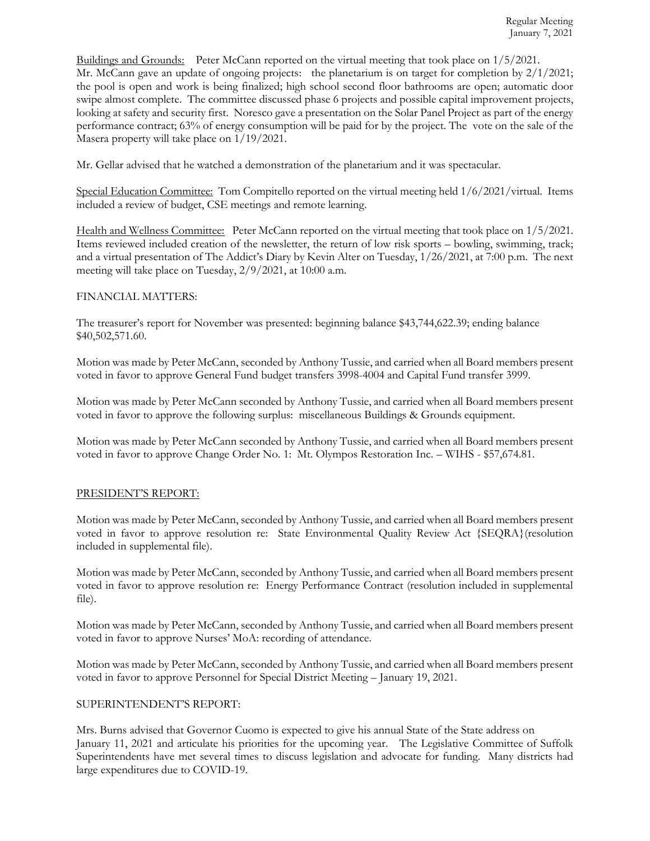Buildings and Grounds: Peter McCann reported on the virtual meeting that took place on 1/5/2021*.* Mr. McCann gave an update of ongoing projects: the planetarium is on target for completion by  $2/1/2021$ ; the pool is open and work is being finalized; high school second floor bathrooms are open; automatic door swipe almost complete. The committee discussed phase 6 projects and possible capital improvement projects, looking at safety and security first. Noresco gave a presentation on the Solar Panel Project as part of the energy performance contract; 63% of energy consumption will be paid for by the project. The vote on the sale of the Masera property will take place on 1/19/2021.

Mr. Gellar advised that he watched a demonstration of the planetarium and it was spectacular.

Special Education Committee: Tom Compitello reported on the virtual meeting held 1/6/2021/virtual. Items included a review of budget, CSE meetings and remote learning.

Health and Wellness Committee: Peter McCann reported on the virtual meeting that took place on 1/5/2021. Items reviewed included creation of the newsletter, the return of low risk sports – bowling, swimming, track; and a virtual presentation of The Addict's Diary by Kevin Alter on Tuesday, 1/26/2021, at 7:00 p.m. The next meeting will take place on Tuesday, 2/9/2021, at 10:00 a.m.

### FINANCIAL MATTERS:

The treasurer's report for November was presented: beginning balance \$43,744,622.39; ending balance \$40,502,571.60.

Motion was made by Peter McCann, seconded by Anthony Tussie, and carried when all Board members present voted in favor to approve General Fund budget transfers 3998-4004 and Capital Fund transfer 3999.

Motion was made by Peter McCann seconded by Anthony Tussie, and carried when all Board members present voted in favor to approve the following surplus: miscellaneous Buildings & Grounds equipment.

Motion was made by Peter McCann seconded by Anthony Tussie, and carried when all Board members present voted in favor to approve Change Order No. 1: Mt. Olympos Restoration Inc. – WIHS - \$57,674.81.

### PRESIDENT'S REPORT:

Motion was made by Peter McCann, seconded by Anthony Tussie, and carried when all Board members present voted in favor to approve resolution re: State Environmental Quality Review Act {SEQRA}(resolution included in supplemental file).

Motion was made by Peter McCann, seconded by Anthony Tussie, and carried when all Board members present voted in favor to approve resolution re: Energy Performance Contract (resolution included in supplemental file).

Motion was made by Peter McCann, seconded by Anthony Tussie, and carried when all Board members present voted in favor to approve Nurses' MoA: recording of attendance.

Motion was made by Peter McCann, seconded by Anthony Tussie, and carried when all Board members present voted in favor to approve Personnel for Special District Meeting – January 19, 2021.

### SUPERINTENDENT'S REPORT:

Mrs. Burns advised that Governor Cuomo is expected to give his annual State of the State address on January 11, 2021 and articulate his priorities for the upcoming year. The Legislative Committee of Suffolk Superintendents have met several times to discuss legislation and advocate for funding. Many districts had large expenditures due to COVID-19.